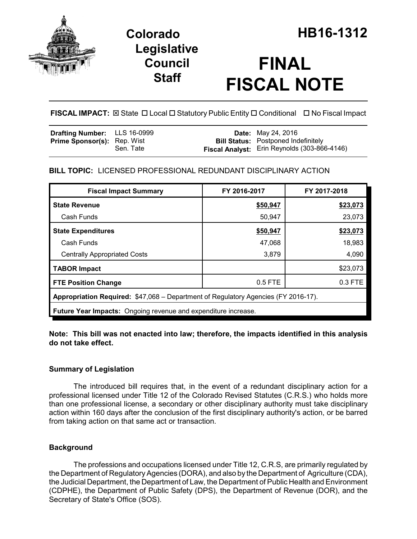

# **FINAL FISCAL NOTE**

FISCAL IMPACT:  $\boxtimes$  State  $\Box$  Local  $\Box$  Statutory Public Entity  $\Box$  Conditional  $\Box$  No Fiscal Impact

| <b>Drafting Number:</b> LLS 16-0999 |           | <b>Date:</b> May 24, 2016                           |
|-------------------------------------|-----------|-----------------------------------------------------|
| <b>Prime Sponsor(s): Rep. Wist</b>  |           | <b>Bill Status:</b> Postponed Indefinitely          |
|                                     | Sen. Tate | <b>Fiscal Analyst:</b> Erin Reynolds (303-866-4146) |

# **BILL TOPIC:** LICENSED PROFESSIONAL REDUNDANT DISCIPLINARY ACTION

| <b>Fiscal Impact Summary</b>                                                       | FY 2016-2017 | FY 2017-2018 |  |  |  |  |
|------------------------------------------------------------------------------------|--------------|--------------|--|--|--|--|
| <b>State Revenue</b>                                                               | \$50,947     | \$23,073     |  |  |  |  |
| Cash Funds                                                                         | 50,947       | 23,073       |  |  |  |  |
| <b>State Expenditures</b>                                                          | \$50,947     | \$23,073     |  |  |  |  |
| Cash Funds                                                                         | 47,068       | 18,983       |  |  |  |  |
| <b>Centrally Appropriated Costs</b>                                                | 3,879        | 4,090        |  |  |  |  |
| <b>TABOR Impact</b>                                                                |              | \$23,073     |  |  |  |  |
| <b>FTE Position Change</b>                                                         | 0.5 FTE      | 0.3 FTE      |  |  |  |  |
| Appropriation Required: \$47,068 – Department of Regulatory Agencies (FY 2016-17). |              |              |  |  |  |  |
| <b>Future Year Impacts:</b> Ongoing revenue and expenditure increase.              |              |              |  |  |  |  |

# **Note: This bill was not enacted into law; therefore, the impacts identified in this analysis do not take effect.**

# **Summary of Legislation**

The introduced bill requires that, in the event of a redundant disciplinary action for a professional licensed under Title 12 of the Colorado Revised Statutes (C.R.S.) who holds more than one professional license, a secondary or other disciplinary authority must take disciplinary action within 160 days after the conclusion of the first disciplinary authority's action, or be barred from taking action on that same act or transaction.

# **Background**

The professions and occupations licensed under Title 12, C.R.S, are primarily regulated by the Department of Regulatory Agencies (DORA), and also by the Department of Agriculture (CDA), the Judicial Department, the Department of Law, the Department of Public Health and Environment (CDPHE), the Department of Public Safety (DPS), the Department of Revenue (DOR), and the Secretary of State's Office (SOS).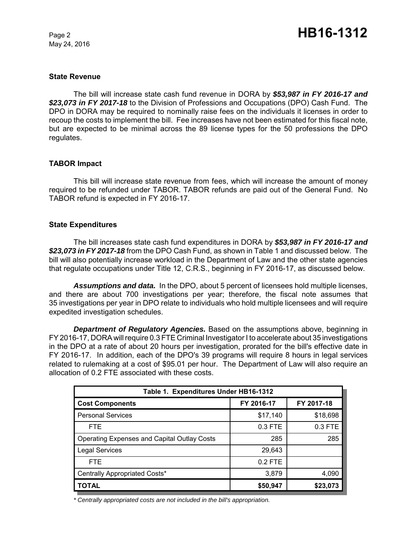May 24, 2016

#### **State Revenue**

The bill will increase state cash fund revenue in DORA by *\$53,987 in FY 2016-17 and \$23,073 in FY 2017-18* to the Division of Professions and Occupations (DPO) Cash Fund. The DPO in DORA may be required to nominally raise fees on the individuals it licenses in order to recoup the costs to implement the bill. Fee increases have not been estimated for this fiscal note, but are expected to be minimal across the 89 license types for the 50 professions the DPO regulates.

#### **TABOR Impact**

This bill will increase state revenue from fees, which will increase the amount of money required to be refunded under TABOR. TABOR refunds are paid out of the General Fund. No TABOR refund is expected in FY 2016-17.

#### **State Expenditures**

The bill increases state cash fund expenditures in DORA by *\$53,987 in FY 2016-17 and \$23,073 in FY 2017-18* from the DPO Cash Fund, as shown in Table 1 and discussed below. The bill will also potentially increase workload in the Department of Law and the other state agencies that regulate occupations under Title 12, C.R.S., beginning in FY 2016-17, as discussed below.

*Assumptions and data.* In the DPO, about 5 percent of licensees hold multiple licenses, and there are about 700 investigations per year; therefore, the fiscal note assumes that 35 investigations per year in DPO relate to individuals who hold multiple licensees and will require expedited investigation schedules.

*Department of Regulatory Agencies.* Based on the assumptions above, beginning in FY 2016-17, DORA will require 0.3 FTE Criminal Investigator I to accelerate about 35 investigations in the DPO at a rate of about 20 hours per investigation, prorated for the bill's effective date in FY 2016-17. In addition, each of the DPO's 39 programs will require 8 hours in legal services related to rulemaking at a cost of \$95.01 per hour. The Department of Law will also require an allocation of 0.2 FTE associated with these costs.

| Table 1. Expenditures Under HB16-1312              |            |            |  |  |  |  |
|----------------------------------------------------|------------|------------|--|--|--|--|
| <b>Cost Components</b>                             | FY 2016-17 | FY 2017-18 |  |  |  |  |
| <b>Personal Services</b>                           | \$17,140   | \$18,698   |  |  |  |  |
| <b>FTE</b>                                         | $0.3$ FTE  | 0.3 FTE    |  |  |  |  |
| <b>Operating Expenses and Capital Outlay Costs</b> | 285        | 285        |  |  |  |  |
| <b>Legal Services</b>                              | 29,643     |            |  |  |  |  |
| <b>FTE</b>                                         | $0.2$ FTE  |            |  |  |  |  |
| Centrally Appropriated Costs*                      | 3,879      | 4,090      |  |  |  |  |
| <b>TOTAL</b>                                       | \$50,947   | \$23,073   |  |  |  |  |

*\* Centrally appropriated costs are not included in the bill's appropriation.*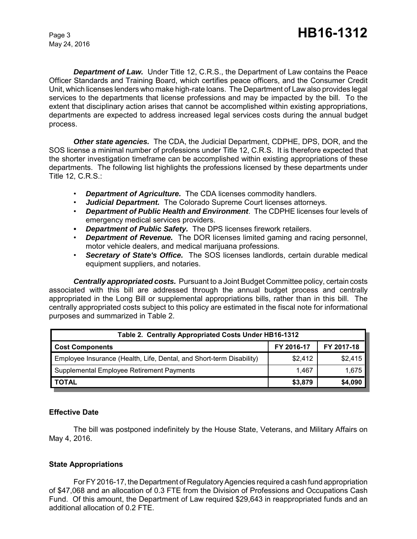May 24, 2016

*Department of Law.* Under Title 12, C.R.S., the Department of Law contains the Peace Officer Standards and Training Board, which certifies peace officers, and the Consumer Credit Unit, which licenses lenders who make high-rate loans. The Department of Law also provides legal services to the departments that license professions and may be impacted by the bill. To the extent that disciplinary action arises that cannot be accomplished within existing appropriations, departments are expected to address increased legal services costs during the annual budget process.

*Other state agencies.* The CDA, the Judicial Department, CDPHE, DPS, DOR, and the SOS license a minimal number of professions under Title 12, C.R.S. It is therefore expected that the shorter investigation timeframe can be accomplished within existing appropriations of these departments. The following list highlights the professions licensed by these departments under Title 12, C.R.S.:

- **Department of Agriculture.** The CDA licenses commodity handlers.
- *Judicial Department.*The Colorado Supreme Court licenses attorneys.
- *Department of Public Health and Environment*. The CDPHE licenses four levels of emergency medical services providers.
- *Department of Public Safety.* The DPS licenses firework retailers.
- *Department of Revenue.* The DOR licenses limited gaming and racing personnel, motor vehicle dealers, and medical marijuana professions.
- *Secretary of State's Office.* The SOS licenses landlords, certain durable medical equipment suppliers, and notaries.

*Centrally appropriated costs.* Pursuant to a Joint Budget Committee policy, certain costs associated with this bill are addressed through the annual budget process and centrally appropriated in the Long Bill or supplemental appropriations bills, rather than in this bill. The centrally appropriated costs subject to this policy are estimated in the fiscal note for informational purposes and summarized in Table 2.

| Table 2. Centrally Appropriated Costs Under HB16-1312                |            |            |  |  |  |  |
|----------------------------------------------------------------------|------------|------------|--|--|--|--|
| <b>Cost Components</b>                                               | FY 2016-17 | FY 2017-18 |  |  |  |  |
| Employee Insurance (Health, Life, Dental, and Short-term Disability) | \$2.412    | \$2,415    |  |  |  |  |
| Supplemental Employee Retirement Payments                            | 1.467      | 1,675      |  |  |  |  |
| <b>TOTAL</b>                                                         | \$3,879    | \$4,090    |  |  |  |  |

# **Effective Date**

The bill was postponed indefinitely by the House State, Veterans, and Military Affairs on May 4, 2016.

# **State Appropriations**

For FY 2016-17, the Department of Regulatory Agencies required a cash fund appropriation of \$47,068 and an allocation of 0.3 FTE from the Division of Professions and Occupations Cash Fund. Of this amount, the Department of Law required \$29,643 in reappropriated funds and an additional allocation of 0.2 FTE.